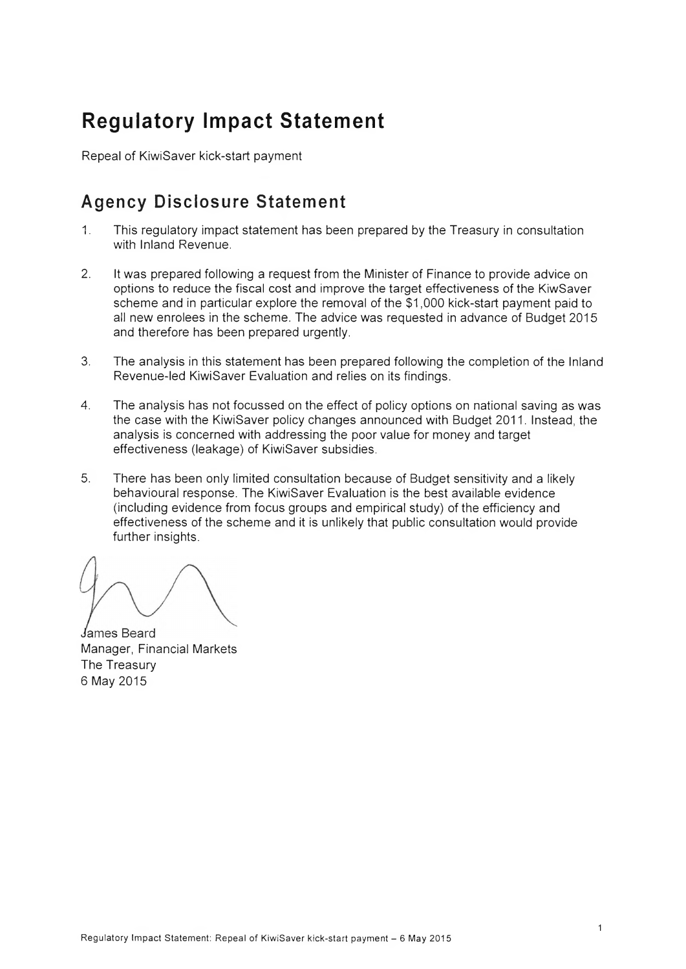# **Regulatory Impact Statement**

Repeal of KiwiSaver kick-start payment

## Agency Disclosure Statement

- 1. This regulatory impact statement has been prepared by the Treasury in consultation with Inland Revenue.
- 2. It was prepared following a request from the Minister of Finance to provide advice on options to reduce the fiscal cost and improve the target effectiveness of the KiwSaver scheme and in particular explore the removal of the \$1,000 kick-start payment paid to all new enrolees in the scheme. The advice was requested in advance of Budget 2015 and therefore has been prepared urgently.
- 3. The analysis in this statement has been prepared following the completion of the Inland Revenue-led KiwiSaver Evaluation and relies on its findings.
- 4. The analysis has not focussed on the effect of policy options on national saving as was the case with the KiwiSaver policy changes announced with Budget 2011. Instead, the analysis is concerned with addressing the poor value for money and target effectiveness (leakage) of KiwiSaver subsidies.
- 5. There has been only limited consultation because of Budget sensitivity and a likely behavioural response. The KiwiSaver Evaluation is the best available evidence (including evidence from focus groups and empirical study) of the efficiency and effectiveness of the scheme and it is unlikely that public consultation would provide further insights.

James Beard Manager, Financial Markets The Treasury 6 May 2015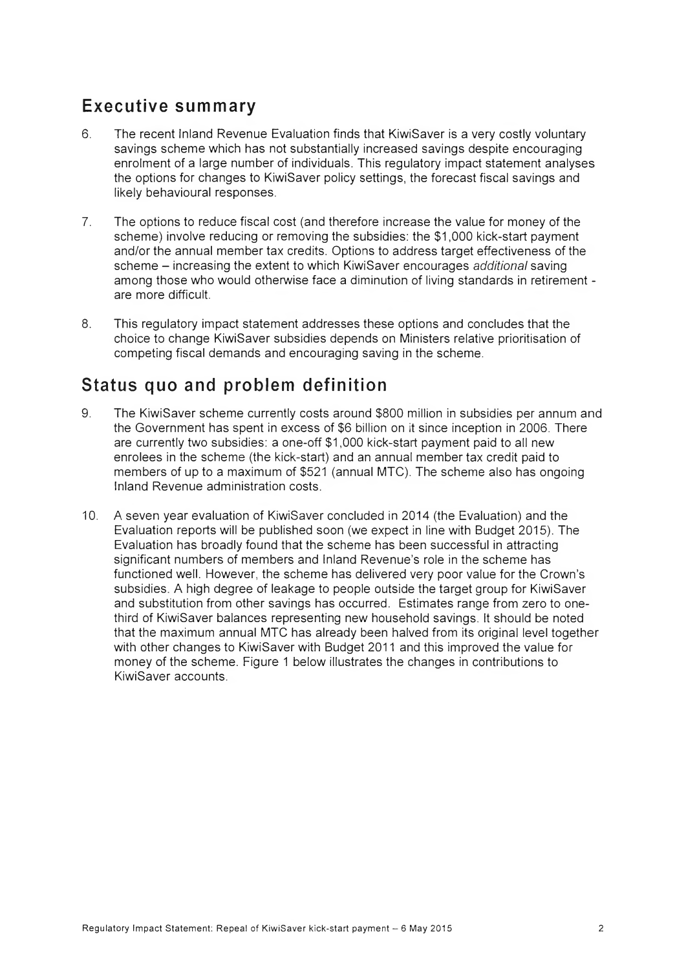### Executive summary

- 6. The recent Inland Revenue Evaluation finds that KiwiSaver is a very costly voluntary savings scheme which has not substantially increased savings despite encouraging enrolment of a large number of individuals. This regulatory impact statement analyses the options for changes to KiwiSaver policy settings, the forecast fiscal savings and likely behavioural responses.
- 7. The options to reduce fiscal cost (and therefore increase the value for money of the scheme) involve reducing or removing the subsidies: the \$1,000 kick-start payment and/or the annual member tax credits. Options to address target effectiveness of the scheme - increasing the extent to which KiwiSaver encourages *additional* saving among those who would otherwise face a diminution of living standards in retirement are more difficult.
- 8. This regulatory impact statement addresses these options and concludes that the choice to change KiwiSaver subsidies depends on Ministers relative prioritisation of competing fiscal demands and encouraging saving in the scheme.

### Status quo and problem definition

- 9. The KiwiSaver scheme currently costs around \$800 million in subsidies per annum and the Government has spent in excess of \$6 billion on it since inception in 2006. There are currently two subsidies: a one-off \$1,000 kick-start payment paid to all new enrolees in the scheme (the kick-start) and an annual member tax credit paid to members of up to a maximum of \$521 (annual MTC). The scheme also has ongoing Inland Revenue administration costs.
- 10. A seven year evaluation of KiwiSaver concluded in 2014 (the Evaluation) and the Evaluation reports will be published soon (we expect in line with Budget 2015). The Evaluation has broadly found that the scheme has been successful in attracting significant numbers of members and Inland Revenue's role in the scheme has functioned well. However, the scheme has delivered very poor value for the Crown's subsidies. A high degree of leakage to people outside the target group for KiwiSaver and substitution from other savings has occurred. Estimates range from zero to onethird of KiwiSaver balances representing new household savings. It should be noted that the maximum annual MTC has already been halved from its original level together with other changes to KiwiSaver with Budget 2011 and this improved the value for money of the scheme. Figure 1 below illustrates the changes in contributions to KiwiSaver accounts.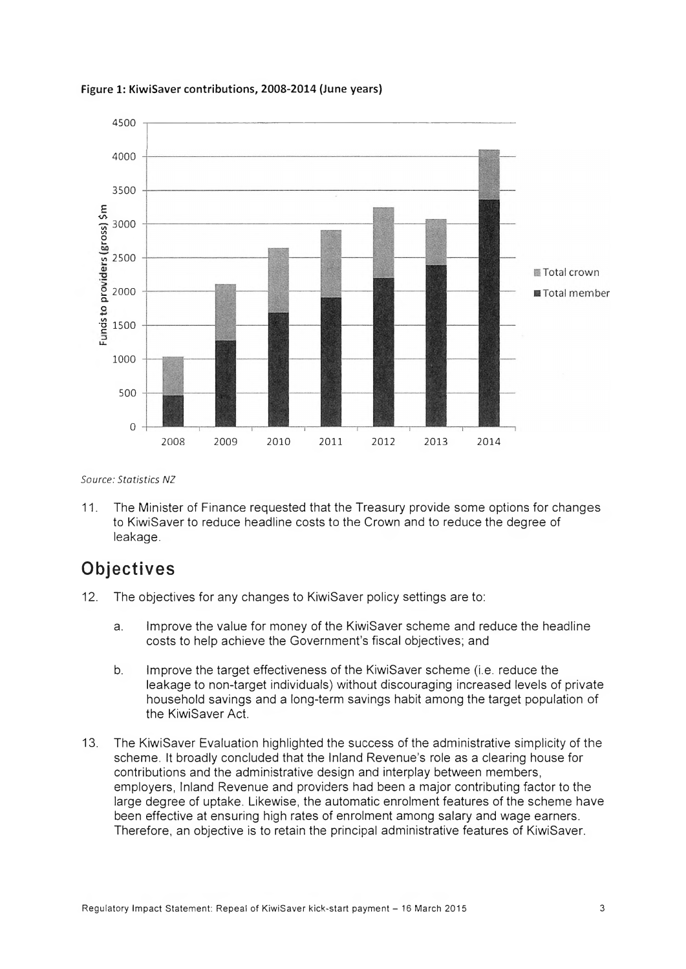

**Figure 1: KiwiSaver contributions, 2008-2014 (June years)**

*Source: Statistics NZ*

11. The Minister of Finance requested that the Treasury provide some options for changes to KiwiSaver to reduce headline costs to the Crown and to reduce the degree of leakage.

### **Objectives**

- 12. The objectives for any changes to KiwiSaver policy settings are to:
	- a. Improve the value for money of the KiwiSaver scheme and reduce the headline costs to help achieve the Government's fiscal objectives; and
	- b. Improve the target effectiveness of the KiwiSaver scheme (i.e. reduce the leakage to non-target individuals) without discouraging increased levels of private household savings and a long-term savings habit among the target population of the KiwiSaver Act.
- 13. The KiwiSaver Evaluation highlighted the success of the administrative simplicity of the scheme. It broadly concluded that the Inland Revenue's role as a clearing house for contributions and the administrative design and interplay between members, employers, Inland Revenue and providers had been a major contributing factor to the large degree of uptake. Likewise, the automatic enrolment features of the scheme have been effective at ensuring high rates of enrolment among salary and wage earners. Therefore, an objective is to retain the principal administrative features of KiwiSaver.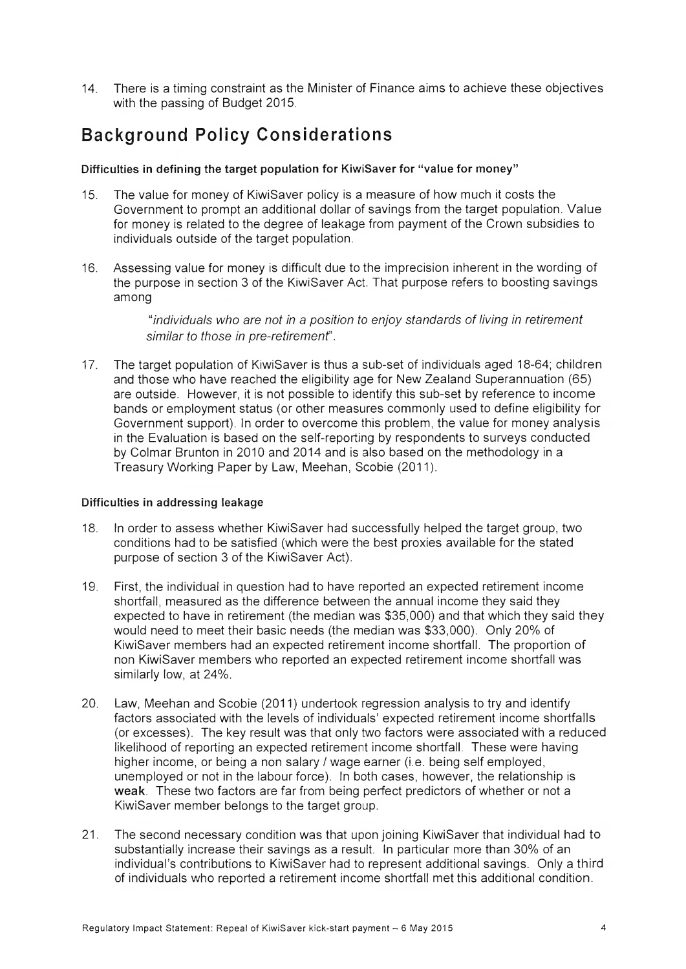14. There is a timing constraint as the Minister of Finance aims to achieve these objectives with the passing of Budget 2015.

## Background Policy Considerations

#### Difficulties in defining the target population for KiwiSaver for "value for money"

- 15. The value for money of KiwiSaver policy is a measure of how much it costs the Government to prompt an additional dollar of savings from the target population. Value for money is related to the degree of leakage from payment of the Crown subsidies to individuals outside of the target population.
- 16. Assessing value for money is difficult due to the imprecision inherent in the wording of the purpose in section 3 of the KiwiSaver Act. That purpose refers to boosting savings among

*"individuals who are not in a position to enjoy standards of living in retirement similar to those in pre-retirement'.*

17. The target population of KiwiSaver is thus a sub-set of individuals aged 18-64; children and those who have reached the eligibility age for New Zealand Superannuation (65) are outside. However, it is not possible to identify this sub-set by reference to income bands or employment status (or other measures commonly used to define eligibility for Government support). In order to overcome this problem, the value for money analysis in the Evaluation is based on the self-reporting by respondents to surveys conducted by Colmar Brunton in 2010 and 2014 and is also based on the methodology in a Treasury Working Paper by Law, Meehan, Scobie (2011).

#### Difficulties in addressing leakage

- 18. In order to assess whether KiwiSaver had successfully helped the target group, two conditions had to be satisfied (which were the best proxies available for the stated purpose of section 3 of the KiwiSaver Act).
- 19. First, the individual in question had to have reported an expected retirement income shortfall, measured as the difference between the annual income they said they expected to have in retirement (the median was \$35,000) and that which they said they would need to meet their basic needs (the median was \$33,000). Only 20% of KiwiSaver members had an expected retirement income shortfall. The proportion of non KiwiSaver members who reported an expected retirement income shortfall was similarly low, at 24%.
- 20. Law, Meehan and Scobie (2011) undertook regression analysis to try and identify factors associated with the levels of individuals' expected retirement income shortfalls (or excesses). The key result was that only two factors were associated with a reduced likelihood of reporting an expected retirement income shortfall. These were having higher income, or being a non salary / wage earner (i.e. being self employed, unemployed or not in the labour force). In both cases, however, the relationship is weak. These two factors are far from being perfect predictors of whether or not a KiwiSaver member belongs to the target group.
- 21. The second necessary condition was that upon joining KiwiSaver that individual had to substantially increase their savings as a result. In particular more than 30% of an individual's contributions to KiwiSaver had to represent additional savings. Only a third of individuals who reported a retirement income shortfall met this additional condition.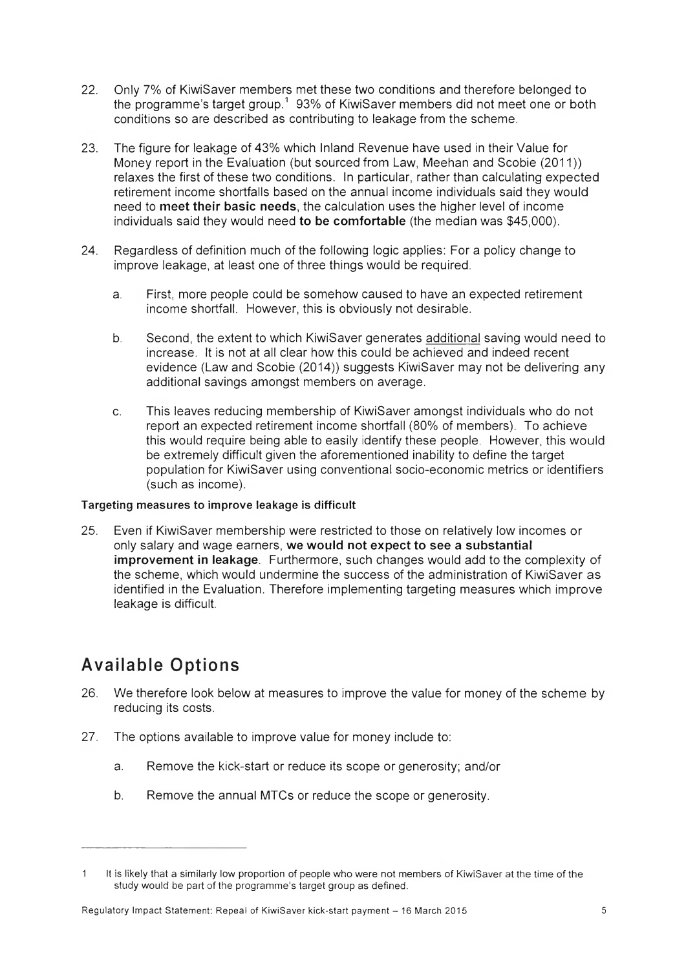- 22. Only 7% of KiwiSaver members met these two conditions and therefore belonged to the programme's target group.<sup>1</sup> 93% of KiwiSaver members did not meet one or both conditions so are described as contributing to leakage from the scheme.
- 23. The figure for leakage of 43% which Inland Revenue have used in their Value for Money report in the Evaluation (but sourced from Law, Meehan and Scobie (2011)) relaxes the first of these two conditions. In particular, rather than calculating expected retirement income shortfalls based on the annual income individuals said they would need to meet their basic needs, the calculation uses the higher level of income individuals said they would need to be comfortable (the median was \$45,000).
- 24. Regardless of definition much of the following logic applies: For a policy change to improve leakage, at least one of three things would be required.
	- a. First, more people could be somehow caused to have an expected retirement income shortfall. However, this is obviously not desirable.
	- b. Second, the extent to which KiwiSaver generates additional saving would need to increase. It is not at all clear how this could be achieved and indeed recent evidence (Law and Scobie (2014)) suggests KiwiSaver may not be delivering any additional savings amongst members on average.
	- c. This leaves reducing membership of KiwiSaver amongst individuals who do not report an expected retirement income shortfall (80% of members). To achieve this would require being able to easily identify these people. However, this would be extremely difficult given the aforementioned inability to define the target population for KiwiSaver using conventional socio-economic metrics or identifiers (such as income).

#### Targeting measures to improve leakage is difficult

25. Even if KiwiSaver membership were restricted to those on relatively low incomes or only salary and wage earners, we would not expect to see a substantial improvement in leakage. Furthermore, such changes would add to the complexity of the scheme, which would undermine the success of the administration of KiwiSaver as identified in the Evaluation. Therefore implementing targeting measures which improve leakage is difficult.

# Available Options

- 26. We therefore look below at measures to improve the value for money of the scheme by reducing its costs.
- 27. The options available to improve value for money include to:
	- a. Remove the kick-start or reduce its scope or generosity; and/or
	- b. Remove the annual MTCs or reduce the scope or generosity.

<sup>1</sup> It is likely that a similarly low proportion of people who were not members of KiwiSaver at the time of the study would be part of the programme's target group as defined.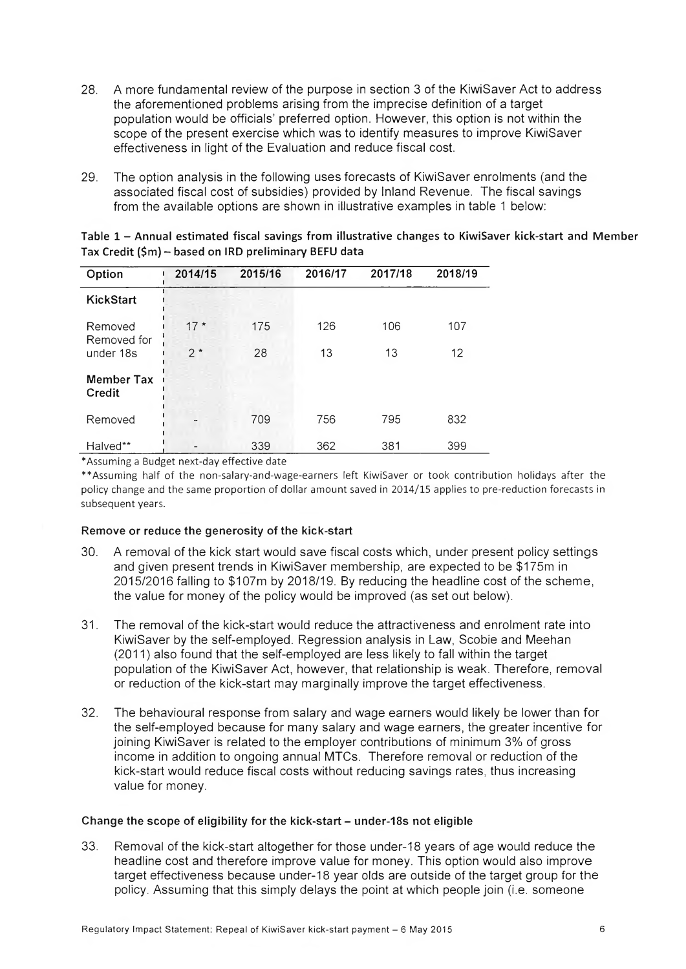- 28. A more fundamental review of the purpose in section 3 of the KiwiSaver Act to address the aforementioned problems arising from the imprecise definition of a target population would be officials' preferred option. However, this option is not within the scope of the present exercise which was to identify measures to improve KiwiSaver effectiveness in light of the Evaluation and reduce fiscal cost.
- 29. The option analysis in the following uses forecasts of KiwiSaver enrolments (and the associated fiscal cost of subsidies) provided by Inland Revenue. The fiscal savings from the available options are shown in illustrative examples in table 1 below:

| Option                                                                                                                                                                                                                                         | 2014/15 | 2015/16 | 2016/17 | 2017/18 | 2018/19 |
|------------------------------------------------------------------------------------------------------------------------------------------------------------------------------------------------------------------------------------------------|---------|---------|---------|---------|---------|
| <b>KickStart</b>                                                                                                                                                                                                                               |         |         |         |         |         |
| Removed<br>Removed for                                                                                                                                                                                                                         | $17*$   | 175     | 126     | 106     | 107     |
| under 18s                                                                                                                                                                                                                                      | $2*$    | 28      | 13      | 13      | 12      |
| Member Tax<br>Credit                                                                                                                                                                                                                           |         |         |         |         |         |
| Removed                                                                                                                                                                                                                                        |         | 709     | 756     | 795     | 832     |
| Halved**<br>$\bullet$ . The set of the set of the set of the set of the set of the set of the set of the set of the set of the set of the set of the set of the set of the set of the set of the set of the set of the set of the set of the s |         | 339     | 362     | 381     | 399     |

Table 1 - Annual estimated fiscal savings from illustrative changes to KiwiSaver kick-start and Member Tax Credit (\$m) - based on IRD preliminary BEFU data

\* Assuming a Budget next-day effective date

\*\*Assuming half of the non-salary-and-wage-earners left KiwiSaver or took contribution holidays after the policy change and the same proportion of dollar amount saved in 2014/15 applies to pre-reduction forecasts in subsequent years.

#### Remove or reduce the generosity of the kick-start

- 30. A removal of the kick start would save fiscal costs which, under present policy settings and given present trends in KiwiSaver membership, are expected to be \$175m in 2015/2016 falling to \$107m by 2018/19. By reducing the headline cost of the scheme, the value for money of the policy would be improved (as set out below).
- 31. The removal of the kick-start would reduce the attractiveness and enrolment rate into KiwiSaver by the self-employed. Regression analysis in Law, Scobie and Meehan (2011) also found that the self-employed are less likely to fall within the target population of the KiwiSaver Act, however, that relationship is weak. Therefore, removal or reduction of the kick-start may marginally improve the target effectiveness.
- 32. The behavioural response from salary and wage earners would likely be lower than for the self-employed because for many salary and wage earners, the greater incentive for joining KiwiSaver is related to the employer contributions of minimum 3% of gross income in addition to ongoing annual MTCs. Therefore removal or reduction of the kick-start would reduce fiscal costs without reducing savings rates, thus increasing value for money.

#### Change the scope of eligibility for the kick-start - under-18s not eligible

33. Removal of the kick-start altogether for those under-18 years of age would reduce the headline cost and therefore improve value for money. This option would also improve target effectiveness because under-18 year olds are outside of the target group for the policy. Assuming that this simply delays the point at which people join (i.e. someone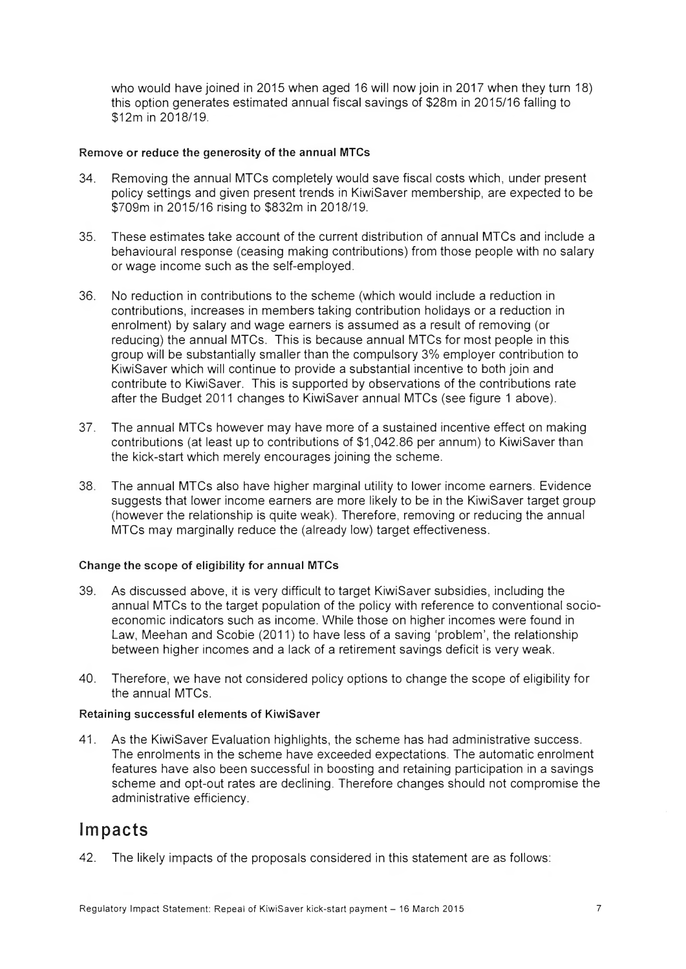who would have joined in 2015 when aged 16 will now join in 2017 when they turn 18) this option generates estimated annual fiscal savings of \$28m in 2015/16 falling to \$12m in 2018/19.

#### Remove or reduce the generosity of the annual MTCs

- 34. Removing the annual MTCs completely would save fiscal costs which, under present policy settings and given present trends in KiwiSaver membership, are expected to be \$709m in 2015/16 rising to \$832m in 2018/19.
- 35. These estimates take account of the current distribution of annual MTCs and include a behavioural response (ceasing making contributions) from those people with no salary or wage income such as the self-employed.
- 36. No reduction in contributions to the scheme (which would include a reduction in contributions, increases in members taking contribution holidays or a reduction in enrolment) by salary and wage earners is assumed as a result of removing (or reducing) the annual MTCs. This is because annual MTCs for most people in this group will be substantially smaller than the compulsory 3% employer contribution to KiwiSaver which will continue to provide a substantial incentive to both join and contribute to KiwiSaver. This is supported by observations of the contributions rate after the Budget 2011 changes to KiwiSaver annual MTCs (see figure 1 above).
- 37. The annual MTCs however may have more of a sustained incentive effect on making contributions (at least up to contributions of \$1,042.86 per annum) to KiwiSaver than the kick-start which merely encourages joining the scheme.
- 38. The annual MTCs also have higher marginal utility to lower income earners. Evidence suggests that lower income earners are more likely to be in the KiwiSaver target group (however the relationship is quite weak). Therefore, removing or reducing the annual MTCs may marginally reduce the (already low) target effectiveness.

#### Change the scope of eligibility for annual MTCs

- 39. As discussed above, it is very difficult to target KiwiSaver subsidies, including the annual MTCs to the target population of the policy with reference to conventional socioeconomic indicators such as income. While those on higher incomes were found in Law, Meehan and Scobie (2011) to have less of a saving 'problem', the relationship between higher incomes and a lack of a retirement savings deficit is very weak.
- 40. Therefore, we have not considered policy options to change the scope of eligibility for the annual MTCs.

#### Retaining successful elements of KiwiSaver

41. As the KiwiSaver Evaluation highlights, the scheme has had administrative success. The enrolments in the scheme have exceeded expectations. The automatic enrolment features have also been successful in boosting and retaining participation in a savings scheme and opt-out rates are declining. Therefore changes should not compromise the administrative efficiency.

### Impacts

42. The likely impacts of the proposals considered in this statement are as follows: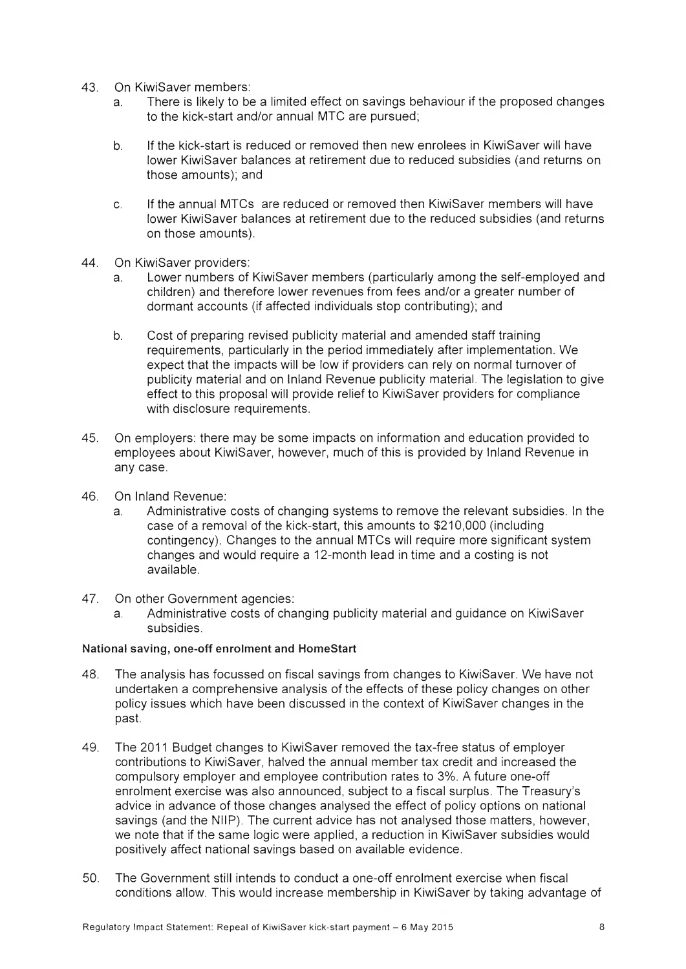- 43. On KiwiSaver members:
	- a. There is likely to be a limited effect on savings behaviour if the proposed changes to the kick-start and/or annual MTC are pursued;
	- b. If the kick-start is reduced or removed then new enrolees in KiwiSaver will have lower KiwiSaver balances at retirement due to reduced subsidies (and returns on those amounts); and
	- c. If the annual MTCs are reduced or removed then KiwiSaver members will have lower KiwiSaver balances at retirement due to the reduced subsidies (and returns on those amounts).
- 44. On KiwiSaver providers:
	- a. Lower numbers of KiwiSaver members (particularly among the self-employed and children) and therefore lower revenues from fees and/or a greater number of dormant accounts (if affected individuals stop contributing); and
	- b. Cost of preparing revised publicity material and amended staff training requirements, particularly in the period immediately after implementation. We expect that the impacts will be low if providers can rely on normal turnover of publicity material and on Inland Revenue publicity material. The legislation to give effect to this proposal will provide relief to KiwiSaver providers for compliance with disclosure requirements.
- 45. On employers: there may be some impacts on information and education provided to employees about KiwiSaver, however, much of this is provided by Inland Revenue in any case.
- 46. On Inland Revenue:
	- a. Administrative costs of changing systems to remove the relevant subsidies. In the case of a removal of the kick-start, this amounts to \$210,000 (including contingency). Changes to the annual MTCs will require more significant system changes and would require a 12-month lead in time and a costing is not available.
- 47. On other Government agencies:
	- a. Administrative costs of changing publicity material and guidance on KiwiSaver subsidies.

#### National saving, one-off enrolment and HomeStart

- 48. The analysis has focussed on fiscal savings from changes to KiwiSaver. We have not undertaken a comprehensive analysis of the effects of these policy changes on other policy issues which have been discussed in the context of KiwiSaver changes in the past.
- 49. The 2011 Budget changes to KiwiSaver removed the tax-free status of employer contributions to KiwiSaver, halved the annual member tax credit and increased the compulsory employer and employee contribution rates to 3%. A future one-off enrolment exercise was also announced, subject to a fiscal surplus. The Treasury's advice in advance of those changes analysed the effect of policy options on national savings (and the NilP). The current advice has not analysed those matters, however, we note that if the same logic were applied, a reduction in KiwiSaver subsidies would positively affect national savings based on available evidence.
- 50. The Government still intends to conduct a one-off enrolment exercise when fiscal conditions allow. This would increase membership in KiwiSaver by taking advantage of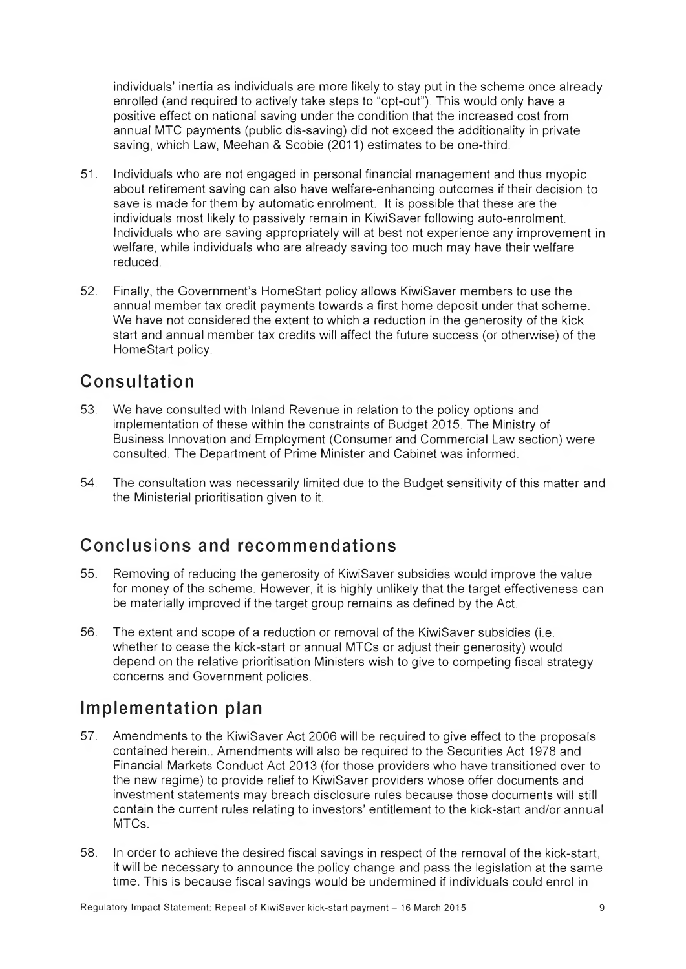individuals' inertia as individuals are more likely to stay put in the scheme once already enrolled (and required to actively take steps to "opt-out"). This would only have a positive effect on national saving under the condition that the increased cost from annual MTC payments (public dis-saving) did not exceed the additionality in private saving, which Law, Meehan & Scobie (2011) estimates to be one-third.

- 51. Individuals who are not engaged in personal financial management and thus myopic about retirement saving can also have welfare-enhancing outcomes if their decision to save is made for them by automatic enrolment. It is possible that these are the individuals most likely to passively remain in KiwiSaver following auto-enrolment. Individuals who are saving appropriately will at best not experience any improvement in welfare, while individuals who are already saving too much may have their welfare reduced.
- 52. Finally, the Government's HomeStart policy allows KiwiSaver members to use the annual member tax credit payments towards a first home deposit under that scheme. We have not considered the extent to which a reduction in the generosity of the kick start and annual member tax credits will affect the future success (or otherwise) of the HomeStart policy.

### Consultation

- 53. We have consulted with inland Revenue in relation to the policy options and implementation of these within the constraints of Budget 2015. The Ministry of Business Innovation and Employment (Consumer and Commercial Law section) were consulted. The Department of Prime Minister and Cabinet was informed.
- 54. The consultation was necessarily limited due to the Budget sensitivity of this matter and the Ministerial prioritisation given to it.

### Conclusions and recommendations

- 55. Removing of reducing the generosity of KiwiSaver subsidies would improve the value for money of the scheme. However, it is highly unlikely that the target effectiveness can be materially improved if the target group remains as defined by the Act.
- 56. The extent and scope of a reduction or removal of the KiwiSaver subsidies (i.e. whether to cease the kick-start or annual MTCs or adjust their generosity) would depend on the relative prioritisation Ministers wish to give to competing fiscal strategy concerns and Government policies.

### Implementation plan

- 57. Amendments to the KiwiSaver Act 2006 will be required to give effect to the proposals contained herein.. Amendments will also be required to the Securities Act 1978 and Financial Markets Conduct Act 2013 (for those providers who have transitioned over to the new regime) to provide relief to KiwiSaver providers whose offer documents and investment statements may breach disclosure rules because those documents will still contain the current rules relating to investors' entitlement to the kick-start and/or annual MTCs.
- 58. In order to achieve the desired fiscal savings in respect of the removal of the kick-start, it will be necessary to announce the policy change and pass the legislation at the same time. This is because fiscal savings would be undermined if individuals could enrol in